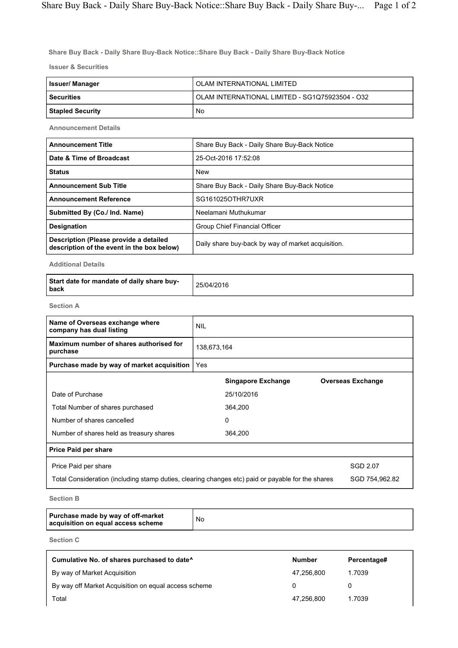Share Buy Back - Daily Share Buy-Back Notice::Share Buy Back - Daily Share Buy-Back Notice

Issuer & Securities

| Issuer/ Manager         | OLAM INTERNATIONAL LIMITED                      |  |  |  |
|-------------------------|-------------------------------------------------|--|--|--|
| <b>Securities</b>       | OLAM INTERNATIONAL LIMITED - SG1Q75923504 - O32 |  |  |  |
| <b>Stapled Security</b> | No                                              |  |  |  |

Announcement Details

| <b>Announcement Title</b>                                                            | Share Buy Back - Daily Share Buy-Back Notice       |  |  |  |
|--------------------------------------------------------------------------------------|----------------------------------------------------|--|--|--|
| Date & Time of Broadcast                                                             | 25-Oct-2016 17:52:08                               |  |  |  |
| <b>Status</b>                                                                        | <b>New</b>                                         |  |  |  |
| <b>Announcement Sub Title</b>                                                        | Share Buy Back - Daily Share Buy-Back Notice       |  |  |  |
| <b>Announcement Reference</b>                                                        | SG161025OTHR7UXR                                   |  |  |  |
| Submitted By (Co./ Ind. Name)                                                        | Neelamani Muthukumar                               |  |  |  |
| <b>Designation</b>                                                                   | Group Chief Financial Officer                      |  |  |  |
| Description (Please provide a detailed<br>description of the event in the box below) | Daily share buy-back by way of market acquisition. |  |  |  |

Additional Details

| Start date for mandate of daily share buy-<br>  back | 25/04/2016 |
|------------------------------------------------------|------------|
|------------------------------------------------------|------------|

Section A

| Name of Overseas exchange where<br>company has dual listing                                       | <b>NIL</b>  |                           |  |                          |  |
|---------------------------------------------------------------------------------------------------|-------------|---------------------------|--|--------------------------|--|
| Maximum number of shares authorised for<br>purchase                                               | 138,673,164 |                           |  |                          |  |
| Purchase made by way of market acquisition                                                        | Yes         |                           |  |                          |  |
|                                                                                                   |             | <b>Singapore Exchange</b> |  | <b>Overseas Exchange</b> |  |
| Date of Purchase                                                                                  |             | 25/10/2016                |  |                          |  |
| Total Number of shares purchased                                                                  |             | 364,200                   |  |                          |  |
| Number of shares cancelled                                                                        |             | 0                         |  |                          |  |
| Number of shares held as treasury shares                                                          |             | 364,200                   |  |                          |  |
| <b>Price Paid per share</b>                                                                       |             |                           |  |                          |  |
| Price Paid per share                                                                              |             |                           |  | SGD 2.07                 |  |
| Total Consideration (including stamp duties, clearing changes etc) paid or payable for the shares |             |                           |  | SGD 754,962.82           |  |

Section B

Purchase made by way of off-market acquisition on equal access scheme No

Section C

| Cumulative No. of shares purchased to date <sup>^</sup> | <b>Number</b> | Percentage# |
|---------------------------------------------------------|---------------|-------------|
| By way of Market Acquisition                            | 47.256.800    | 1.7039      |
| By way off Market Acquisition on equal access scheme    | $\Omega$      |             |
| Total                                                   | 47.256.800    | 1.7039      |